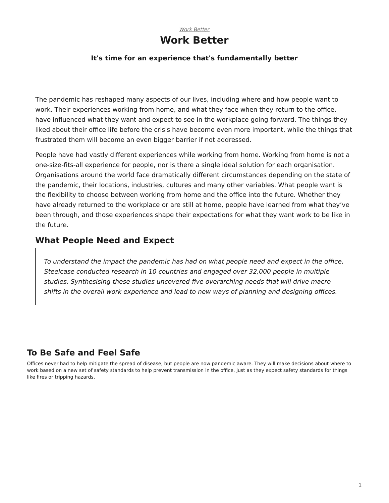### [Work Better](https://www.steelcase.com/asia-en/research/topics/work-better/) **Work Better**

#### **It's time for an experience that's fundamentally better**

The pandemic has reshaped many aspects of our lives, including where and how people want to work. Their experiences working from home, and what they face when they return to the office, have influenced what they want and expect to see in the workplace going forward. The things they liked about their office life before the crisis have become even more important, while the things that frustrated them will become an even bigger barrier if not addressed.

People have had vastly different experiences while working from home. Working from home is not a one-size-fits-all experience for people, nor is there a single ideal solution for each organisation. Organisations around the world face dramatically different circumstances depending on the state of the pandemic, their locations, industries, cultures and many other variables. What people want is the flexibility to choose between working from home and the office into the future. Whether they have already returned to the workplace or are still at home, people have learned from what they've been through, and those experiences shape their expectations for what they want work to be like in the future.

### **What People Need and Expect**

To understand the impact the pandemic has had on what people need and expect in the office, Steelcase conducted research in 10 countries and engaged over 32,000 people in multiple studies. Synthesising these studies uncovered five overarching needs that will drive macro shifts in the overall work experience and lead to new ways of planning and designing offices.

# **To Be Safe and Feel Safe**

Offices never had to help mitigate the spread of disease, but people are now pandemic aware. They will make decisions about where to work based on a new set of safety standards to help prevent transmission in the office, just as they expect safety standards for things like fires or tripping hazards.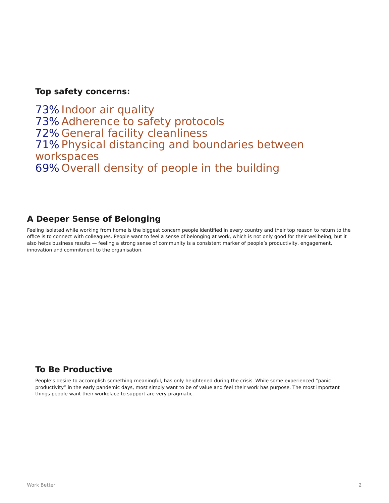### **Top safety concerns:**

73% Indoor air quality 73% Adherence to safety protocols 72% General facility cleanliness 71% Physical distancing and boundaries between workspaces 69% Overall density of people in the building

## **A Deeper Sense of Belonging**

Feeling isolated while working from home is the biggest concern people identified in every country and their top reason to return to the office is to connect with colleagues. People want to feel a sense of belonging at work, which is not only good for their wellbeing, but it also helps business results — feeling a strong sense of community is a consistent marker of people's productivity, engagement, innovation and commitment to the organisation.

## **To Be Productive**

People's desire to accomplish something meaningful, has only heightened during the crisis. While some experienced "panic productivity" in the early pandemic days, most simply want to be of value and feel their work has purpose. The most important things people want their workplace to support are very pragmatic.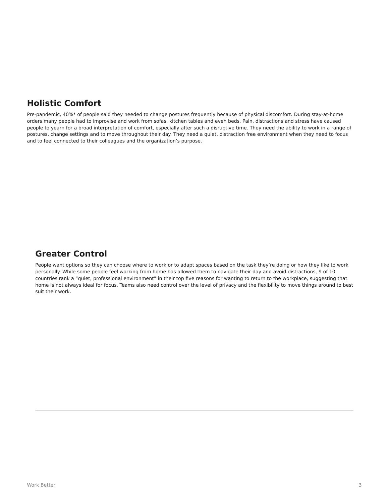## **Holistic Comfort**

Pre-pandemic, 40%\* of people said they needed to change postures frequently because of physical discomfort. During stay-at-home orders many people had to improvise and work from sofas, kitchen tables and even beds. Pain, distractions and stress have caused people to yearn for a broad interpretation of comfort, especially after such a disruptive time. They need the ability to work in a range of postures, change settings and to move throughout their day. They need a quiet, distraction free environment when they need to focus and to feel connected to their colleagues and the organization's purpose.

### **Greater Control**

People want options so they can choose where to work or to adapt spaces based on the task they're doing or how they like to work personally. While some people feel working from home has allowed them to navigate their day and avoid distractions, 9 of 10 countries rank a "quiet, professional environment" in their top five reasons for wanting to return to the workplace, suggesting that home is not always ideal for focus. Teams also need control over the level of privacy and the flexibility to move things around to best suit their work.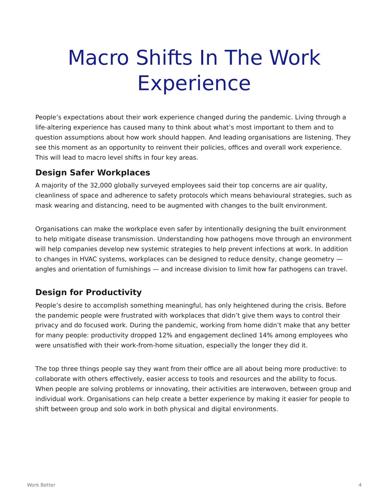# Macro Shifts In The Work **Experience**

People's expectations about their work experience changed during the pandemic. Living through a life-altering experience has caused many to think about what's most important to them and to question assumptions about how work should happen. And leading organisations are listening. They see this moment as an opportunity to reinvent their policies, offices and overall work experience. This will lead to macro level shifts in four key areas.

## **Design Safer Workplaces**

A majority of the 32,000 globally surveyed employees said their top concerns are air quality, cleanliness of space and adherence to safety protocols which means behavioural strategies, such as mask wearing and distancing, need to be augmented with changes to the built environment.

Organisations can make the workplace even safer by intentionally designing the built environment to help mitigate disease transmission. Understanding how pathogens move through an environment will help companies develop new systemic strategies to help prevent infections at work. In addition to changes in HVAC systems, workplaces can be designed to reduce density, change geometry angles and orientation of furnishings — and increase division to limit how far pathogens can travel.

# **Design for Productivity**

People's desire to accomplish something meaningful, has only heightened during the crisis. Before the pandemic people were frustrated with workplaces that didn't give them ways to control their privacy and do focused work. During the pandemic, working from home didn't make that any better for many people: productivity dropped 12% and engagement declined 14% among employees who were unsatisfied with their work-from-home situation, especially the longer they did it.

The top three things people say they want from their office are all about being more productive: to collaborate with others effectively, easier access to tools and resources and the ability to focus. When people are solving problems or innovating, their activities are interwoven, between group and individual work. Organisations can help create a better experience by making it easier for people to shift between group and solo work in both physical and digital environments.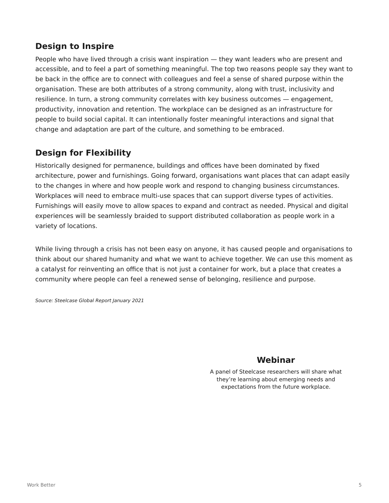## **Design to Inspire**

People who have lived through a crisis want inspiration — they want leaders who are present and accessible, and to feel a part of something meaningful. The top two reasons people say they want to be back in the office are to connect with colleagues and feel a sense of shared purpose within the organisation. These are both attributes of a strong community, along with trust, inclusivity and resilience. In turn, a strong community correlates with key business outcomes — engagement, productivity, innovation and retention. The workplace can be designed as an infrastructure for people to build social capital. It can intentionally foster meaningful interactions and signal that change and adaptation are part of the culture, and something to be embraced.

## **Design for Flexibility**

Historically designed for permanence, buildings and offices have been dominated by fixed architecture, power and furnishings. Going forward, organisations want places that can adapt easily to the changes in where and how people work and respond to changing business circumstances. Workplaces will need to embrace multi-use spaces that can support diverse types of activities. Furnishings will easily move to allow spaces to expand and contract as needed. Physical and digital experiences will be seamlessly braided to support distributed collaboration as people work in a variety of locations.

While living through a crisis has not been easy on anyone, it has caused people and organisations to think about our shared humanity and what we want to achieve together. We can use this moment as a catalyst for reinventing an office that is not just a container for work, but a place that creates a community where people can feel a renewed sense of belonging, resilience and purpose.

Source: Steelcase Global Report January 2021

### **Webinar**

A panel of Steelcase researchers will share what they're learning about emerging needs and expectations from the future workplace.